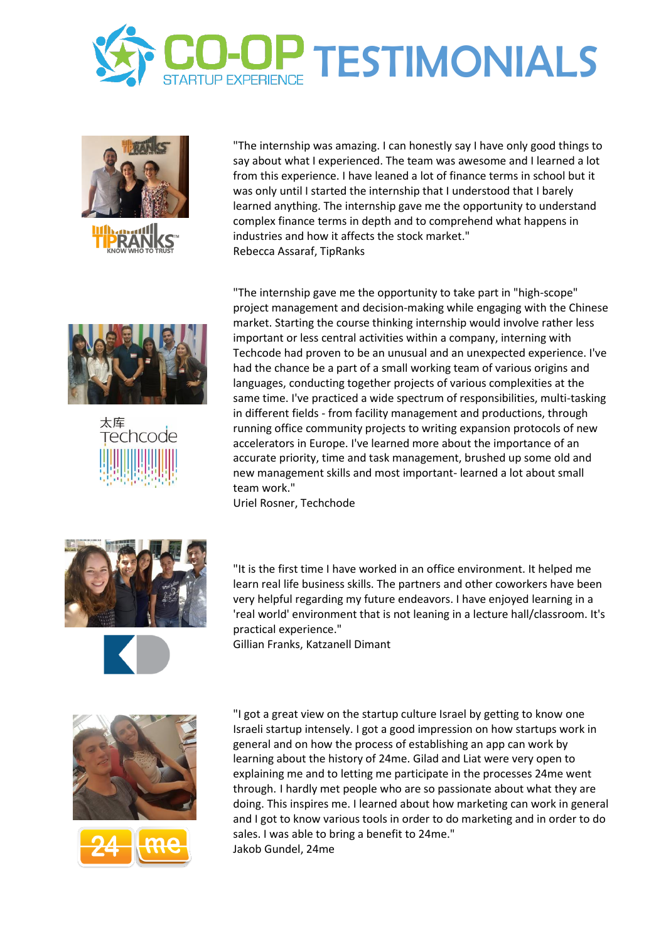





"The internship was amazing. I can honestly say I have only good things to say about what I experienced. The team was awesome and I learned a lot from this experience. I have leaned a lot of finance terms in school but it was only until I started the internship that I understood that I barely learned anything. The internship gave me the opportunity to understand complex finance terms in depth and to comprehend what happens in industries and how it affects the stock market." Rebecca Assaraf, TipRanks





"The internship gave me the opportunity to take part in "high-scope" project management and decision-making while engaging with the Chinese market. Starting the course thinking internship would involve rather less important or less central activities within a company, interning with Techcode had proven to be an unusual and an unexpected experience. I've had the chance be a part of a small working team of various origins and languages, conducting together projects of various complexities at the same time. I've practiced a wide spectrum of responsibilities, multi-tasking in different fields - from facility management and productions, through running office community projects to writing expansion protocols of new accelerators in Europe. I've learned more about the importance of an accurate priority, time and task management, brushed up some old and new management skills and most important- learned a lot about small team work."

Uriel Rosner, Techchode



"It is the first time I have worked in an office environment. It helped me learn real life business skills. The partners and other coworkers have been very helpful regarding my future endeavors. I have enjoyed learning in a 'real world' environment that is not leaning in a lecture hall/classroom. It's practical experience."

Gillian Franks, Katzanell Dimant





"I got a great view on the startup culture Israel by getting to know one Israeli startup intensely. I got a good impression on how startups work in general and on how the process of establishing an app can work by learning about the history of 24me. Gilad and Liat were very open to explaining me and to letting me participate in the processes 24me went through. I hardly met people who are so passionate about what they are doing. This inspires me. I learned about how marketing can work in general and I got to know various tools in order to do marketing and in order to do sales. I was able to bring a benefit to 24me." Jakob Gundel, 24me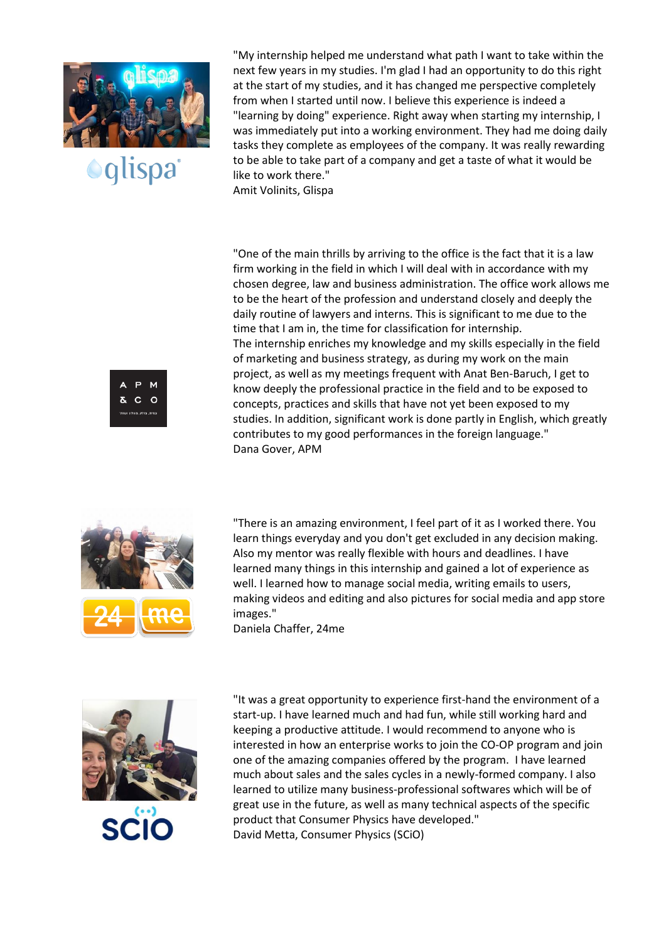

**Oglispa** 

"My internship helped me understand what path I want to take within the next few years in my studies. I'm glad I had an opportunity to do this right at the start of my studies, and it has changed me perspective completely from when I started until now. I believe this experience is indeed a "learning by doing" experience. Right away when starting my internship, I was immediately put into a working environment. They had me doing daily tasks they complete as employees of the company. It was really rewarding to be able to take part of a company and get a taste of what it would be like to work there."

Amit Volinits, Glispa

"One of the main thrills by arriving to the office is the fact that it is a law firm working in the field in which I will deal with in accordance with my chosen degree, law and business administration. The office work allows me to be the heart of the profession and understand closely and deeply the daily routine of lawyers and interns. This is significant to me due to the time that I am in, the time for classification for internship. The internship enriches my knowledge and my skills especially in the field of marketing and business strategy, as during my work on the main project, as well as my meetings frequent with Anat Ben-Baruch, I get to know deeply the professional practice in the field and to be exposed to concepts, practices and skills that have not yet been exposed to my studies. In addition, significant work is done partly in English, which greatly contributes to my good performances in the foreign language." Dana Gover, APM



 $\mathbf{C}$ ം

> "There is an amazing environment, I feel part of it as I worked there. You learn things everyday and you don't get excluded in any decision making. Also my mentor was really flexible with hours and deadlines. I have learned many things in this internship and gained a lot of experience as well. I learned how to manage social media, writing emails to users, making videos and editing and also pictures for social media and app store images."

Daniela Chaffer, 24me



"It was a great opportunity to experience first-hand the environment of a start-up. I have learned much and had fun, while still working hard and keeping a productive attitude. I would recommend to anyone who is interested in how an enterprise works to join the CO-OP program and join one of the amazing companies offered by the program. I have learned much about sales and the sales cycles in a newly-formed company. I also learned to utilize many business-professional softwares which will be of great use in the future, as well as many technical aspects of the specific product that Consumer Physics have developed." David Metta, Consumer Physics (SCiO)